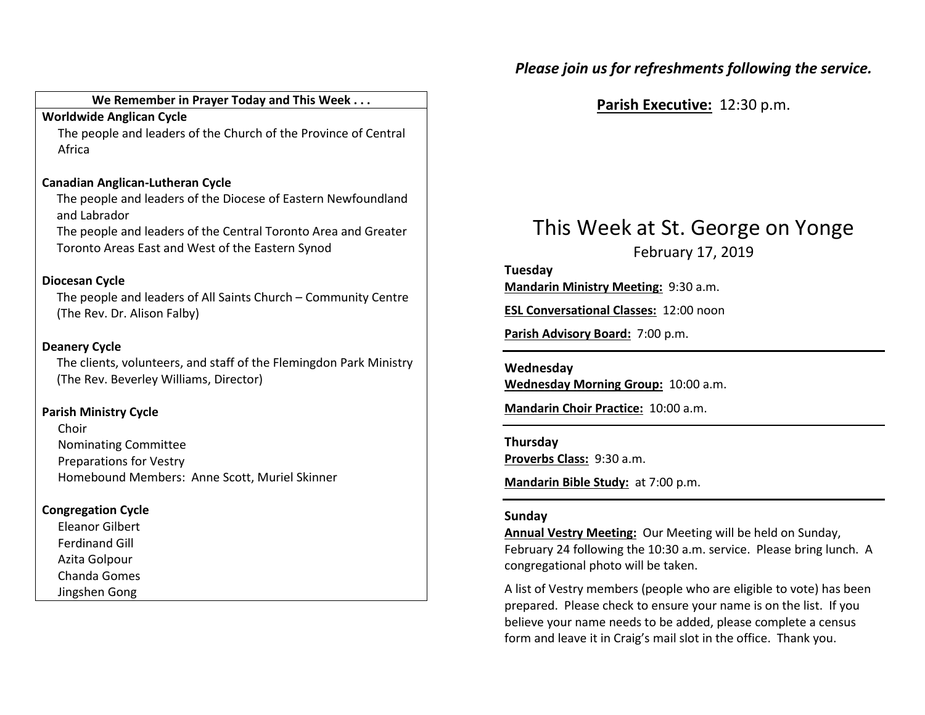# Please join us for refreshments following the service.

# We Remember in Prayer Today and This Week . . .

### Worldwide Anglican Cycle

 The people and leaders of the Church of the Province of Central Africa

### Canadian Anglican-Lutheran Cycle

 The people and leaders of the Diocese of Eastern Newfoundland and Labrador

The people and leaders of the Central Toronto Area and Greater Toronto Areas East and West of the Eastern Synod

# Diocesan Cycle

The people and leaders of All Saints Church – Community Centre (The Rev. Dr. Alison Falby)

# Deanery Cycle

The clients, volunteers, and staff of the Flemingdon Park Ministry (The Rev. Beverley Williams, Director)

# Parish Ministry Cycle

Choir Nominating Committee Preparations for Vestry Homebound Members: Anne Scott, Muriel Skinner

# Congregation Cycle

Eleanor Gilbert Ferdinand Gill Azita Golpour Chanda Gomes Jingshen Gong

Parish Executive: 12:30 p.m.

# This Week at St. George on Yonge

February 17, 2019

# Tuesday

Mandarin Ministry Meeting: 9:30 a.m.

ESL Conversational Classes: 12:00 noon

Parish Advisory Board: 7:00 p.m.

#### Wednesday

Wednesday Morning Group: 10:00 a.m.

Mandarin Choir Practice: 10:00 a.m.

#### Thursday Proverbs Class: 9:30 a.m.

Mandarin Bible Study: at 7:00 p.m.

### Sunday

Annual Vestry Meeting: Our Meeting will be held on Sunday, February 24 following the 10:30 a.m. service. Please bring lunch. A congregational photo will be taken.

A list of Vestry members (people who are eligible to vote) has been prepared. Please check to ensure your name is on the list. If you believe your name needs to be added, please complete a census form and leave it in Craig's mail slot in the office. Thank you.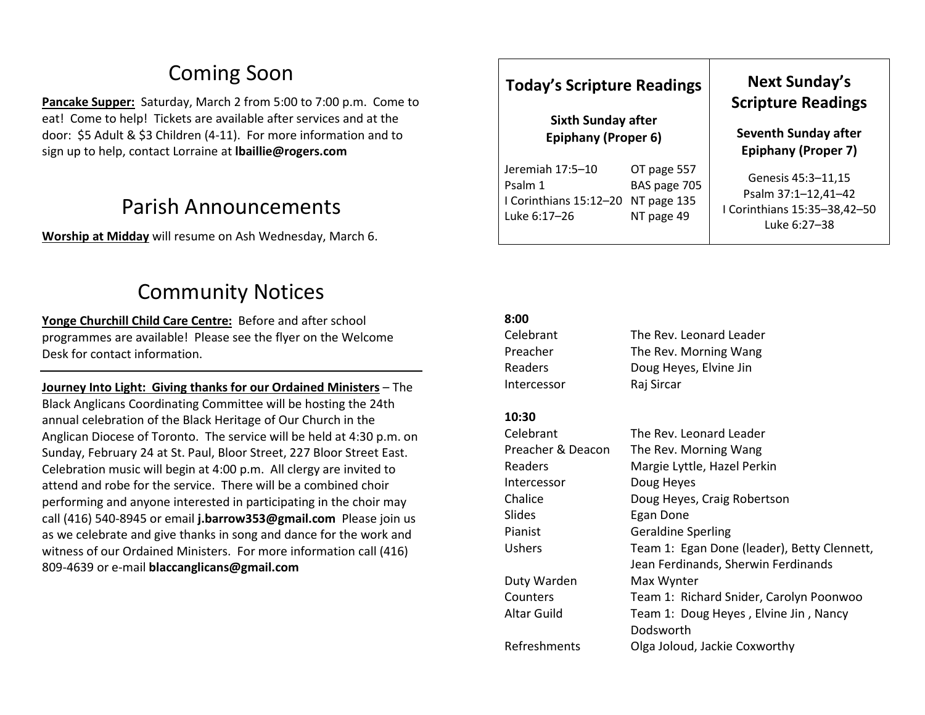# Coming Soon

Pancake Supper: Saturday, March 2 from 5:00 to 7:00 p.m. Come to eat! Come to help! Tickets are available after services and at the door: \$5 Adult & \$3 Children (4-11). For more information and to sign up to help, contact Lorraine at Ibaillie@rogers.com

# Parish Announcements

Worship at Midday will resume on Ash Wednesday, March 6.

# Community Notices

Yonge Churchill Child Care Centre: Before and after school programmes are available! Please see the flyer on the Welcome Desk for contact information.

Journey Into Light: Giving thanks for our Ordained Ministers – The Black Anglicans Coordinating Committee will be hosting the 24th annual celebration of the Black Heritage of Our Church in the Anglican Diocese of Toronto. The service will be held at 4:30 p.m. on Sunday, February 24 at St. Paul, Bloor Street, 227 Bloor Street East. Celebration music will begin at 4:00 p.m. All clergy are invited to attend and robe for the service. There will be a combined choir performing and anyone interested in participating in the choir may call (416) 540-8945 or email **j.barrow353@gmail.com** Please join us as we celebrate and give thanks in song and dance for the work and witness of our Ordained Ministers. For more information call (416) 809-4639 or e-mail blaccanglicans@gmail.com

# Today's Scripture Readings

Sixth Sunday after Epiphany (Proper 6)

| OT page 557                        |  |
|------------------------------------|--|
| BAS page 705                       |  |
| I Corinthians 15:12-20 NT page 135 |  |
| NT page 49                         |  |
|                                    |  |

# Next Sunday's Scripture Readings

Seventh Sunday after Epiphany (Proper 7)

Genesis 45:3–11,15 Psalm 37:1–12,41–42 I Corinthians 15:35–38,42–50 Luke 6:27–38

### 8:00

| Celebrant         | The Rev. Leonard Leader                            |
|-------------------|----------------------------------------------------|
| Preacher          | The Rev. Morning Wang                              |
| Readers           | Doug Heyes, Elvine Jin                             |
| Intercessor       | Raj Sircar                                         |
| 10:30             |                                                    |
| Celebrant         | The Rev. Leonard Leader                            |
| Preacher & Deacon | The Rev. Morning Wang                              |
| Readers           | Margie Lyttle, Hazel Perkin                        |
| Intercessor       | Doug Heyes                                         |
| Chalice           | Doug Heyes, Craig Robertson                        |
| Slides            | Egan Done                                          |
| Pianist           | <b>Geraldine Sperling</b>                          |
| Ushers            | Team 1: Egan Done (leader), Betty Clennett,        |
|                   | Jean Ferdinands, Sherwin Ferdinands                |
| Duty Warden       | Max Wynter                                         |
| Counters          | Team 1: Richard Snider, Carolyn Poonwoo            |
| Altar Guild       | Team 1: Doug Heyes, Elvine Jin, Nancy<br>Dodsworth |
| Refreshments      | Olga Joloud, Jackie Coxworthy                      |
|                   |                                                    |